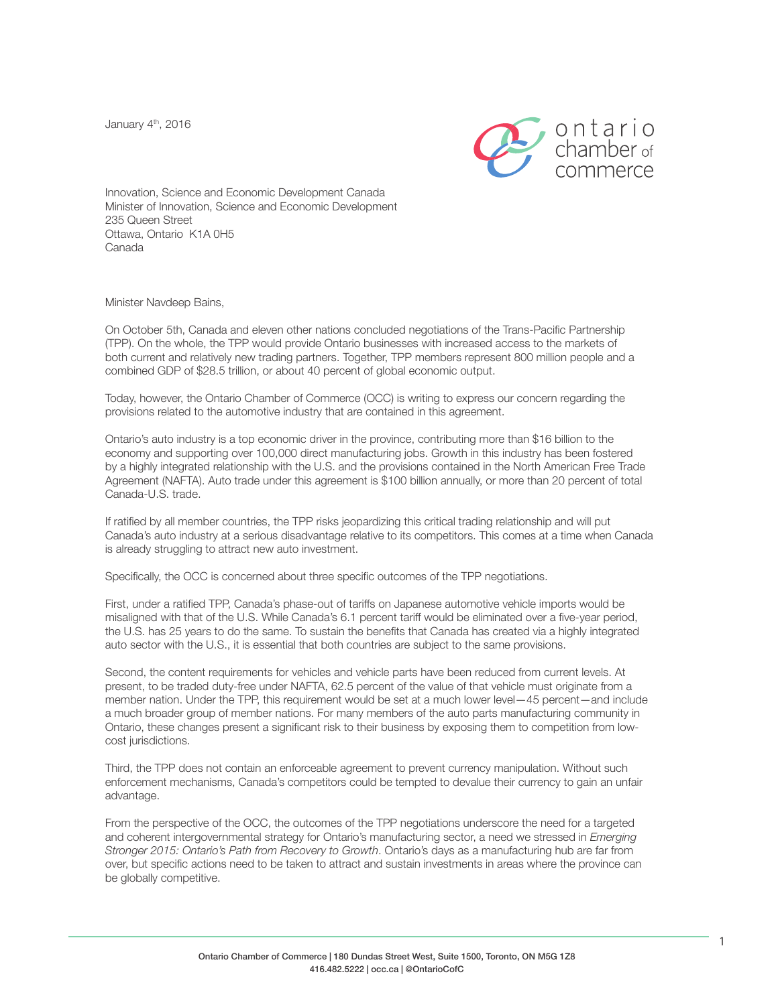January 4<sup>th</sup>, 2016



Innovation, Science and Economic Development Canada Minister of Innovation, Science and Economic Development 235 Queen Street Ottawa, Ontario K1A 0H5 Canada

Minister Navdeep Bains,

On October 5th, Canada and eleven other nations concluded negotiations of the Trans-Pacific Partnership (TPP). On the whole, the TPP would provide Ontario businesses with increased access to the markets of both current and relatively new trading partners. Together, TPP members represent 800 million people and a combined GDP of \$28.5 trillion, or about 40 percent of global economic output.

Today, however, the Ontario Chamber of Commerce (OCC) is writing to express our concern regarding the provisions related to the automotive industry that are contained in this agreement.

Ontario's auto industry is a top economic driver in the province, contributing more than \$16 billion to the economy and supporting over 100,000 direct manufacturing jobs. Growth in this industry has been fostered by a highly integrated relationship with the U.S. and the provisions contained in the North American Free Trade Agreement (NAFTA). Auto trade under this agreement is \$100 billion annually, or more than 20 percent of total Canada-U.S. trade.

If ratified by all member countries, the TPP risks jeopardizing this critical trading relationship and will put Canada's auto industry at a serious disadvantage relative to its competitors. This comes at a time when Canada is already struggling to attract new auto investment.

Specifically, the OCC is concerned about three specific outcomes of the TPP negotiations.

First, under a ratified TPP, Canada's phase-out of tariffs on Japanese automotive vehicle imports would be misaligned with that of the U.S. While Canada's 6.1 percent tariff would be eliminated over a five-year period, the U.S. has 25 years to do the same. To sustain the benefits that Canada has created via a highly integrated auto sector with the U.S., it is essential that both countries are subject to the same provisions.

Second, the content requirements for vehicles and vehicle parts have been reduced from current levels. At present, to be traded duty-free under NAFTA, 62.5 percent of the value of that vehicle must originate from a member nation. Under the TPP, this requirement would be set at a much lower level—45 percent—and include a much broader group of member nations. For many members of the auto parts manufacturing community in Ontario, these changes present a significant risk to their business by exposing them to competition from lowcost jurisdictions.

Third, the TPP does not contain an enforceable agreement to prevent currency manipulation. Without such enforcement mechanisms, Canada's competitors could be tempted to devalue their currency to gain an unfair advantage.

From the perspective of the OCC, the outcomes of the TPP negotiations underscore the need for a targeted and coherent intergovernmental strategy for Ontario's manufacturing sector, a need we stressed in *Emerging Stronger 2015: Ontario's Path from Recovery to Growth*. Ontario's days as a manufacturing hub are far from over, but specific actions need to be taken to attract and sustain investments in areas where the province can be globally competitive.